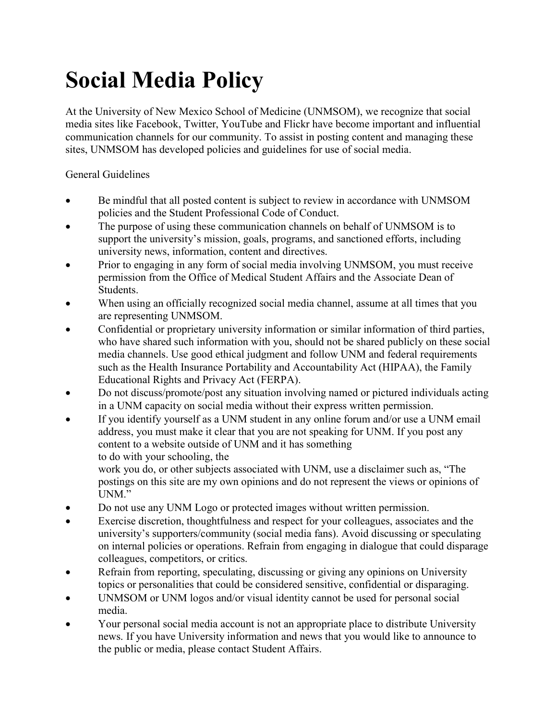## Social Media Policy

At the University of New Mexico School of Medicine (UNMSOM), we recognize that social media sites like Facebook, Twitter, YouTube and Flickr have become important and influential communication channels for our community. To assist in posting content and managing these sites, UNMSOM has developed policies and guidelines for use of social media.

General Guidelines

- Be mindful that all posted content is subject to review in accordance with UNMSOM policies and the Student Professional Code of Conduct.
- The purpose of using these communication channels on behalf of UNMSOM is to support the university's mission, goals, programs, and sanctioned efforts, including university news, information, content and directives.
- Prior to engaging in any form of social media involving UNMSOM, you must receive permission from the Office of Medical Student Affairs and the Associate Dean of Students.
- When using an officially recognized social media channel, assume at all times that you are representing UNMSOM.
- Confidential or proprietary university information or similar information of third parties, who have shared such information with you, should not be shared publicly on these social media channels. Use good ethical judgment and follow UNM and federal requirements such as the Health Insurance Portability and Accountability Act (HIPAA), the Family Educational Rights and Privacy Act (FERPA).
- Do not discuss/promote/post any situation involving named or pictured individuals acting in a UNM capacity on social media without their express written permission.
- If you identify yourself as a UNM student in any online forum and/or use a UNM email address, you must make it clear that you are not speaking for UNM. If you post any content to a website outside of UNM and it has something to do with your schooling, the

work you do, or other subjects associated with UNM, use a disclaimer such as, "The postings on this site are my own opinions and do not represent the views or opinions of UNM."

- Do not use any UNM Logo or protected images without written permission.
- Exercise discretion, thoughtfulness and respect for your colleagues, associates and the university's supporters/community (social media fans). Avoid discussing or speculating on internal policies or operations. Refrain from engaging in dialogue that could disparage colleagues, competitors, or critics.
- Refrain from reporting, speculating, discussing or giving any opinions on University topics or personalities that could be considered sensitive, confidential or disparaging.
- UNMSOM or UNM logos and/or visual identity cannot be used for personal social media.
- Your personal social media account is not an appropriate place to distribute University news. If you have University information and news that you would like to announce to the public or media, please contact Student Affairs.